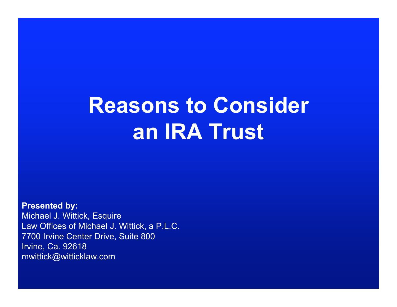# **Reasons to Consider an IRA Trust**

**Presented by:** Michael J. Wittick, Esquire Law Offices of Michael J. Wittick, a P.L.C. 7700 Irvine Center Drive, Suite 800 Irvine, Ca. 92618 mwittick@witticklaw.com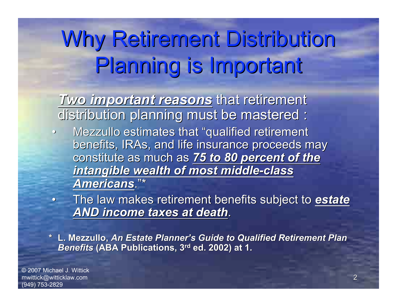# Why Retirement Distribution Planning is Important

*Two important reasons* that retirement distribution planning must be mastered :

- Mezzullo estimates that "qualified retirement benefits, IRAs, and life insurance proceeds may constitute as much as 75 to 80 percent of the *intangible wealth of most middle-class intangible wealth of most middle-class Americans Americans*."\*
- The law makes retirement benefits subject to *estate AND income taxes at death AND income taxes at death*.

 **\* L. Mezzullo, Mezzullo,** *An Estate Planner An Estate Planner's Guide to Qualified Retirement Plan s Guide to Qualified Retirement Plan* **Benefits** (ABA Publications, 3<sup>rd</sup> ed. 2002) at 1.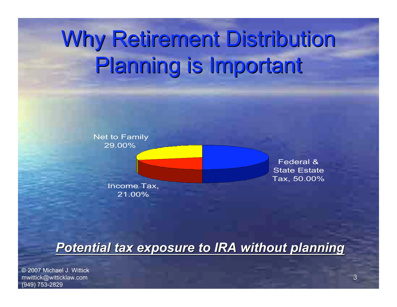# Why Retirement Distribution Planning is Important



#### **Potential tax exposure to IRA without planning**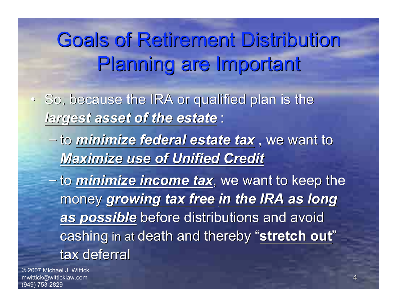## Goals of Retirement Distribution Planning are Important

- So, because the IRA or qualified plan is the *largest asset of the estate largest asset of the estate* :
	- to *minimize federal estate tax minimize federal estate tax* , we want to , we want to *Maximize use of Unified Credit Maximize use of Unified Credit*
	- to *minimize income tax minimize income tax*, we want to k , we want to keep the eep the money growing tax free in the IRA as long *as possible as possible* before distributions and avoid before distributions and avoid cashing in at death and thereby "stretch out" tax deferral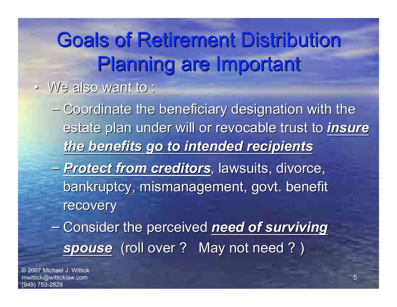Goals of Retirement Distribution Planning are Important

- We also want to : We also want to :
	- $-$  Coordinate the beneficiary designation with the estate plan under will or revocable trust to *insure the benefits go to intended recipients the benefits go to intended recipients*
	- *Protect from creditors Protect from creditors*, lawsuits, divorce, , lawsuits, divorce, bankruptcy, mismanagement, govt. benefit recovery
	- Consider the perceived need of surviving spouse (roll over ? May not need ? )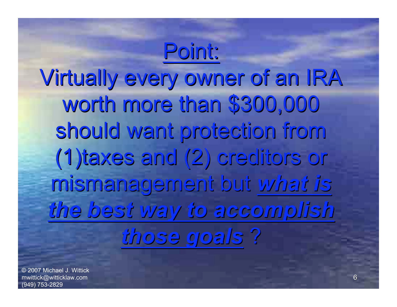# Point: Virtually every owner of an IRA worth more than \$300,000 should want protection from (1)taxes (1)taxes and (2) creditors creditors or mismanagement mismanagement but *what is the best way to accomplish accomplish those goals* ?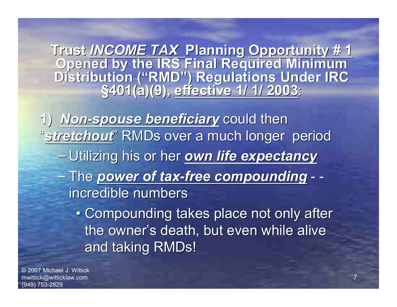**Trust** *INCOME TAX INCOME TAX* **Planning Planning Opportunity # 1 Opportunity # 1 Opened by the IRS Final Required Minimum Opened by the IRS Final Required Minimum Distribution ( Distribution ("RMD") Regulations Under IRC ) Regulations Under IRC §401(a)(9), 401(a)(9), effective 1/ 1/ 2003 effective 1/ 1/ 2003**:

1) Mon-spouse beneficiary could then "stretchout" RMDs over a much longer period – Utilizing his or her *own life expectancy* – The *power of tax-free compounding power of tax-free compounding* - incredible numbers

> • Compounding takes place not only after the owner's death, but even while alive and taking RMDs!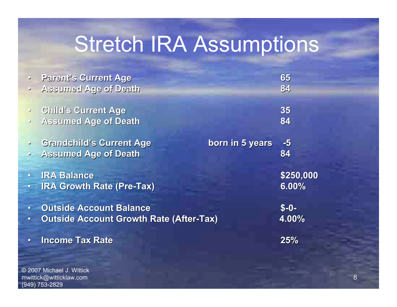## Stretch IRA Assumptions

|           | <b>Parent's Current Age</b>                        | 65        |
|-----------|----------------------------------------------------|-----------|
| $\bullet$ | Assumed Age of Death                               | 84        |
| $\bullet$ | <b>Child's Current Age</b>                         | 35        |
| $\bullet$ | <b>Assumed Age of Death</b>                        | 84        |
| $\bullet$ | <b>Grandchild's Current Age</b><br>born in 5 years | $-5$      |
| $\bullet$ | <b>Assumed Age of Death</b>                        | 84        |
|           | <b>• IRA Balance</b>                               | \$250,000 |
| $\bullet$ | <b>IRA Growth Rate (Pre-Tax)</b>                   | 6.00%     |
| $\bullet$ | <b>Outside Account Balance</b>                     | $S - 0 -$ |
| $\bullet$ | <b>Outside Account Growth Rate (After-Tax)</b>     | 4.00%     |
| $\bullet$ | <b>Income Tax Rate</b>                             | 25%       |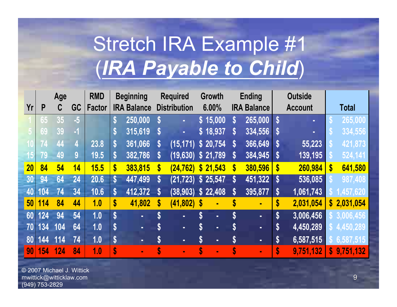# Stretch IRA Example #1 (*IRA Payable to Child*)

|                 | Age |     | <b>RMD</b> |               | <b>Beginning</b>  |                    | <b>Required</b>    |                       | Growth                    | <b>Ending</b>     |                           | <b>Outside</b> |                           |           |                           |             |
|-----------------|-----|-----|------------|---------------|-------------------|--------------------|--------------------|-----------------------|---------------------------|-------------------|---------------------------|----------------|---------------------------|-----------|---------------------------|-------------|
| Yr              | P   | C   | GC         | <b>Factor</b> |                   | <b>IRA Balance</b> |                    | <b>Distribution</b>   |                           | 6.00%             | <b>IRA Balance</b>        |                | <b>Account</b>            |           | <b>Total</b>              |             |
|                 | 65  | 35  | $-5$       |               | S                 | 250,000            |                    |                       |                           | \$15,000          | S                         | 265,000        | S                         | ш         | hб                        | 265,000     |
|                 | 69  | 39  | $-1$       |               | S                 | 315,619            | S                  | $\blacksquare$        |                           | \$18,937          | S.                        | 334,556        | $\boldsymbol{s}$          | ш         | ГŌ                        | 334,556     |
|                 | -74 | 44  | 4          | 23.8          | S                 | 361,066            | S                  | (15, 171)             |                           | \$20,754          | S                         | 366,649        | $\boldsymbol{s}$          | 55,223    |                           | 421,873     |
| 15              | 79  | 49  | 9          | 19.5          | \$                | 382,786            | S                  | (19, 630)             |                           | $\sqrt{$}$ 21,789 | S                         | 384,945        | $\boldsymbol{s}$          | 139,195   |                           | 524, 141    |
| 20              | 84  | 54  | 14         | 15.5          | \$                | 383,815            | $\boldsymbol{s}$   | (24, 762)             |                           | \$21,543          | $\boldsymbol{\$}$         | 380,596        | $\mathbf{\$}$             | 260,984   | $\boldsymbol{\mathsf{s}}$ | 641,580     |
| 30              | 94  | 64  | 24         | 20.6          | $\boldsymbol{\$}$ | 447,499            | S                  | $(21, 723)$ \$ 25,547 |                           |                   | $\boldsymbol{\$}$         | 451,322        | $\boldsymbol{s}$          | 536,085   |                           | 987,408     |
| 40              | 104 | 74  | 34         | 10.6          | \$                | 412,372            | $\boldsymbol{s}$   | (38, 903)             |                           | \$22,408          | S                         | 395,877        | $\mathbf{s}$              | 1,061,743 |                           | ,457,620    |
| 50 <sup>°</sup> | 114 | 84  | 44         | 1.0           | \$                | 41,802             | \$                 | $(41,802)$ \$         |                           | ×,                | \$                        | $\blacksquare$ | \$                        | 2,031,054 |                           | \$2,031,054 |
| 60              | 124 | 94  | 54         | 1.0           | $\boldsymbol{\$}$ | н.                 | \$                 | $\blacksquare$        | ${\bf \S}$                | н.                | $\boldsymbol{\mathsf{S}}$ | н.             | $\boldsymbol{\mathsf{s}}$ | 3,006,456 |                           | \$3,006,456 |
| 70              | 134 | 104 | 64         | 1.0           | \$                | н.                 | S                  | ٠                     | $\boldsymbol{\mathsf{S}}$ | н.                | S                         | $\blacksquare$ | $\boldsymbol{\mathsf{s}}$ | 4,450,289 |                           | \$4,450,289 |
| 80              | 144 | 114 | 74         | 1.0           | \$                | н.                 | $\boldsymbol{\$\}$ | $\sim$                | $\boldsymbol{\mathsf{s}}$ | ٠                 | S                         | $\mathbf{r}$   | $\boldsymbol{\mathsf{s}}$ | 6,587,515 |                           | \$6,587,515 |
| 90              | 154 | 124 | 84         | 1.0           | \$                | ш                  |                    | ш                     | $\boldsymbol{s}$          | ×.                | S                         | ÷.             | \$                        | 9,751,132 |                           | \$9,751,132 |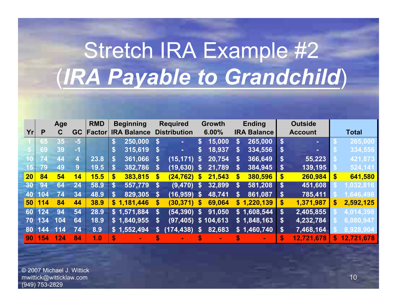# Stretch IRA Example #2 (*IRA Payable to Grandchild*)

|    |     | Age |      | <b>RMD</b> |                   | <b>Beginning</b>   |                   | <b>Required</b>     |                    | <b>Growth</b> | <b>Ending</b>      |             | <b>Outside</b> |            |    |              |
|----|-----|-----|------|------------|-------------------|--------------------|-------------------|---------------------|--------------------|---------------|--------------------|-------------|----------------|------------|----|--------------|
| Yr | P   | С   | GC   | Factor     |                   | <b>IRA Balance</b> |                   | <b>Distribution</b> |                    | 6.00%         | <b>IRA Balance</b> |             | <b>Account</b> |            |    | <b>Total</b> |
|    | 65  | 35  | $-5$ |            | S                 | 250,000            |                   |                     | \$                 | 15,000        | S                  | 265,000     | S              | ٠          |    | 265,000      |
|    | 69  | 39  | -1   |            |                   | 315,619            |                   |                     | \$                 | 18,937        | \$                 | 334,556     | S              |            |    | 334,556      |
| 10 | 74  | 44  | 4    | 23.8       | <b>S</b>          | 361,066            | S                 | (15, 171)           | $\mathbf{s}$       | 20,754        | S                  | 366,649     | S              | 55,223     |    | 421,873      |
| 15 | 79  | 49  | 9    | 19.5       | S                 | 382,786            | S                 | $(19,630)$ \$       |                    | 21,789        | S                  | 384,945     | S              | 139,195    |    | 524,141      |
| 20 | 84  | 54  | 14   | 15.5       | $\boldsymbol{\$}$ | 383,815            | $\mathbf{s}$      | (24, 762)           | S                  | 21,543        | S                  | 380,596     | S              | 260,984    | \$ | 641,580      |
| 30 | 94  | 64  | 24   | 58.9       | S                 | 557,779            | $\mathbf{S}$      | (9, 470)            | $\mathbf{s}$       | 32,899        | S                  | 581,208     | S              | 451,608    |    | 1,032,816    |
| 40 | 104 | 74  | 34   | 48.9       | S                 | 829,305            | $\mathbf{s}$      | (16, 959)           | $\mathbf{s}$       | 48,741        | \$                 | 861,087     | S              | 785,411    |    | 1,646,498    |
| 50 | 114 | 84  | 44   | 38.9       |                   | \$1,181,446        | $\boldsymbol{\$}$ | (30, 371)           | $\mathbf{s}$       | 69,064        | $\mathbf{s}$       | 1,220,139   | \$             | 1,371,987  | S  | 2,592,125    |
| 60 | 124 | 94  | 54   | 28.9       |                   | \$1,571,884        | $\mathbf{s}$      | (54, 390)           | $\mathbf{\hat{s}}$ | 91,050        |                    | \$1,608,544 | $\mathbf{s}$   | 2,405,855  |    | 4,014,398    |
| 70 | 134 | 104 | 64   | 18.9       |                   | \$1,840,955        | $\boldsymbol{\$}$ | (97, 405)           |                    | \$104,613     |                    | \$1,848,163 | \$             | 4,232,784  |    | 6,080,947    |
| 80 | 144 | 114 | 74   | 8.9        |                   | \$1,552,494        | $\boldsymbol{s}$  | (174, 438)          | \$                 | 82,683        |                    | \$1,460,740 | \$             | 7,468,164  |    | 8,928,904    |
| 90 | 154 | 124 | 84   | 1.0        | \$                |                    |                   |                     |                    |               |                    |             |                | 12,721,678 | \$ | 12,721,678   |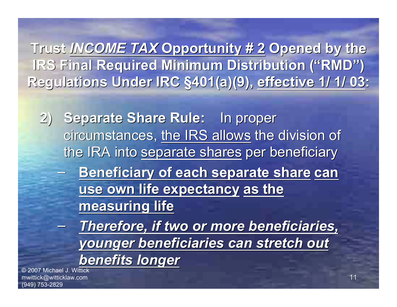**Trust INCOME TAX Opportunity # 2 Opened by the IRS Final Required Minimum Distribution ("RMD")** Regulations Under IRC §401(a)(9), effective 1/ 1/ 03:

**2)** Separate Share Rule: In proper circumstances, the IRS allows the division of the IRA into separate shares per beneficiary – **Beneficiary of each separate share Beneficiary of each separate share can use own life expectancy use own life expectancy as the measuring life measuring life**

– *Therefore, if two or more beneficiaries, Therefore, if two or more beneficiaries, younger beneficiaries can stretch out younger beneficiaries can stretch out benefits longer benefits longer*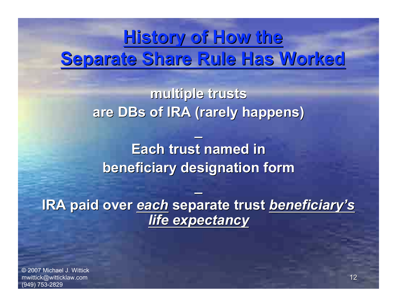### **History of How the History of How the** Separate Share Rule Has Worked

**multiple trusts multiple trusts** are **DBs of IRA (rarely happens)** 

**\_**

**Each trust named in Each trust named in beneficiary designation form beneficiary designation form**

**IRA paid over each separate trust beneficiary's** *life expectancy life expectancy*

**\_**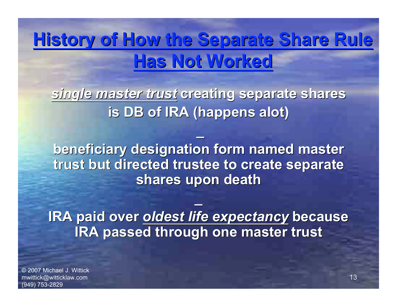### **History of How the Separate Share Rule Has Not Worked Has Not Worked**

*single master trust single master trust* **creating separate shares creating separate shares is DB of IRA (happens alot)** 

**\_**

**beneficiary designation form named master beneficiary designation form named master trust but directed trustee to create separate trust but directed trustee to create separate shares upon death shares upon death**

**IRA paid over oldest life expectancy because IRA passed through one master trust IRA passed through one master trust**

**\_**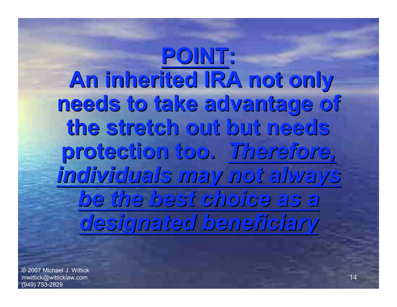**POINT: An inherited inherited IRA not only needs to take advantage advantage of the stretch stretch out but needs protection protection too.** *Therefore, Therefore, individuals individuals may not always be the best choice as a designated designated beneficiary beneficiary*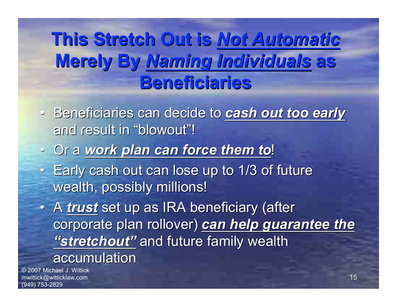**This Stretch Out is This Stretch Out is** *Not Automatic Not Automatic* **Merely By** *Naming Individuals Naming Individuals* **as Beneficiaries Beneficiaries**

- Beneficiaries can decide to *cash out too early* and result in "blowout"!
- Or a *work plan can force them to work plan can force them to*!
- Early cash out can lose up to 1/3 of future wealth, possibly millions!

• A *trust* set up as IRA beneficiary (after corporate plan rollover) can help guarantee the "stretchout" and future family wealth accumulation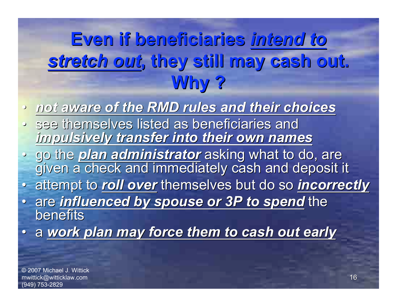## **Even if beneficiaries Even if beneficiaries** *intend to stretch out stretch out***, they still may cash out. , they still may cash out. Why ?**

- *not aware of the RMD rules and their choices not aware of the RMD rules and their choices*
- see themselves listed as beneficiaries and *impulsively transfer into their own names impulsively transfer into their own names*
- go the *plan administrator* asking what to do, are<br>given a check and immediately cash and deposit it
- attempt to *roll over* themselves but do so *incorrectly*
- are *influenced by spouse or 3P to spend influenced by spouse or 3P to spend* the **benefits**
- a *work plan may force them to cash out early work plan may force them to cash out early*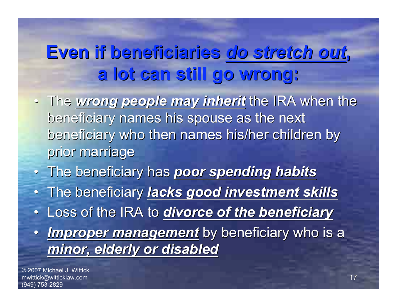## **Even if beneficiaries Even if beneficiaries** *do stretch out do stretch out***, a lot can still go wrong: a lot can still go wrong:**

- The wrong people may inherit the IRA when the beneficiary names his spouse as the next beneficiary who then names his/her children by prior marriage
- The beneficiary has poor spending habits
- The beneficiary The beneficiary *lacks good investment skills lacks good investment skills*
- Loss of the IRA to *divorce of the beneficiary*
- *Improper management* by beneficiary who is a *minor, elderly or disabled minor, elderly or disabled*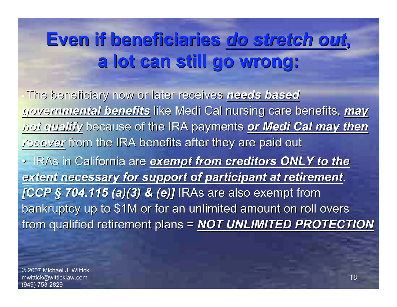## **Even if beneficiaries Even if beneficiaries** *do stretch out do stretch out***, a lot can still go wrong: a lot can still go wrong:**

• The beneficiary now or later receives The beneficiary now or later receives *needs based needs based* governmental benefits like Medi Cal nursing care benefits, may *not qualify qualify* because of the IRA payments because of the IRA payments *or Medi Cal may then or Medi Cal may then* recover from the IRA benefits after they are paid out • IRAs in California are *exempt from creditors ONLY to the* extent necessary for support of participant at retirement. *[CCP § 704.115 (a)(3) & (e)]* IRAs are also exempt from bankruptcy up to \$1M or for an unlimited amount on roll overs from qualified retirement plans = **NOT UNLIMITED PROTECTION**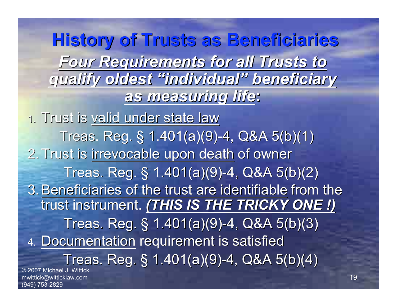© 2007 Michael J. Wittick mwittick@witticklaw.com **History of Trusts as Beneficiaries History of Trusts as Beneficiaries** *Four Requirements Requirements for all Trusts to qualify qualify oldest "individual individual" beneficiary beneficiary as measuring measuring life***:** 1. Trust is valid under state law Treas. Reg.  $\S$  1.401(a)(9)-4, Q&A 5(b)(1) 2. Trust is irrevocable upon death of owner Treas. Reg.  $\S$  1.401(a)(9)-4, Q&A 5(b)(2). 3. Beneficiaries of the trust are identifiable from the trust instrument. (THIS IS THE TRICKY ONE !) Treas. Reg.  $\S$  1.401(a)(9)-4, Q&A 5(b)(3). 4. Documentation requirement is satisfied Treas. Reg. § 1.401(a)(9)-4, Q&A 5(b)(4)

(949) 753-2829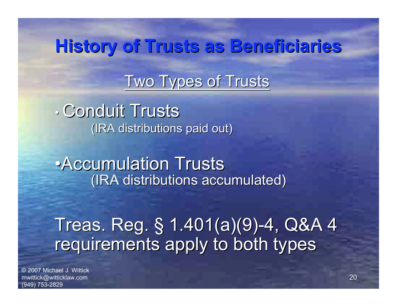#### **History of Trusts History of Trusts as Beneficiaries Beneficiaries**

#### Two Types of Trusts

• Conduit Trusts (IRA distributions paid out)

• Accumulation Trusts (IRA distributions accumulated) (IRA distributions accumulated)

Treas. Reg. § 1.401(a)(9)-4, Q&A 4 requirements apply to both types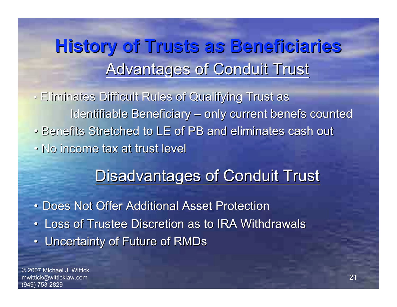## Advantages of Conduit Trust **History of Trusts History of Trusts a***s* **Beneficiaries Beneficiaries**

• Eliminates Difficult Rules of Qualifying Trust as Identifiable Beneficiary – only current benefs counted • Benefits Stretched to LE of PB and eliminates cash out • No income tax at trust level

#### Disadvantages of Conduit Trust

• Does Not Offer Additional Asset Protection • Loss of Trustee Discretion as to IRA Withdrawals • Uncertainty of Future of RMDs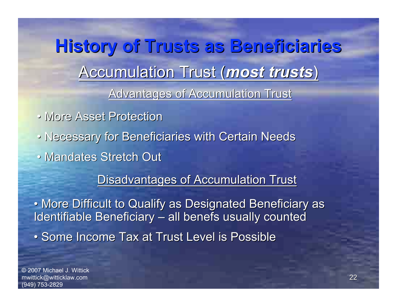Accumulation Trust (*most trusts*) **History of Trusts History of Trusts as Beneficiaries Beneficiaries** Advantages of Accumulation Trust

- More Asset Protection
- Necessary for Beneficiaries with Certain Needs
- Mandates Stretch Out

Disadvantages of Accumulation Trust

• More Difficult to Qualify as Designated Beneficiary as Identifiable Beneficiary – all benefs usually counted

• Some Income Tax at Trust Level is Possible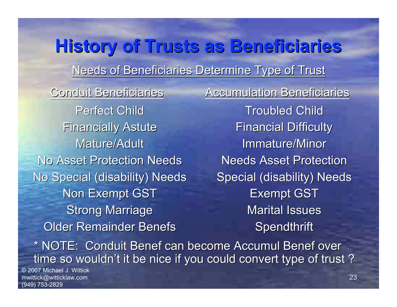#### Needs of Beneficiaries Determine Type of Trust **History of Trusts History of Trusts as Beneficiaries Beneficiaries**

Perfect Child **Financially Astute** Mature/Adult **No Asset Protection Needs** No Special (disability) Needs Non Exempt GST **Strong Marriage Older Remainder Benefs** 

Conduit Beneficiaries **Accumulation Beneficiaries Troubled Child Financial Difficulty Immature/Minor Needs Asset Protection** Special (disability) Needs **Exempt GST Marital Issues Spendthrift** 

\* NOTE: Conduit Benef can become Accumul Benef over time so wouldn't it be nice if you could convert type of trust ?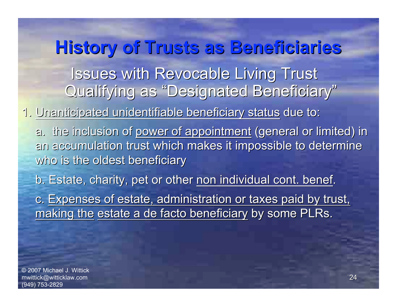**Issues with Revocable Living Trust** Qualifying as "Designated Beneficiary" **History of Trusts as Beneficiaries History of Trusts as Beneficiaries**

1. Unanticipated unidentifiable beneficiary status due to:

a. the inclusion of power of appointment (general or limited) in an accumulation trust which makes it impossible to determine who is the oldest beneficiary

b. Estate, charity, pet or other non individual cont. benef.

c. Expenses of estate, administration or taxes paid by trust, making the estate a de facto beneficiary by some PLRs.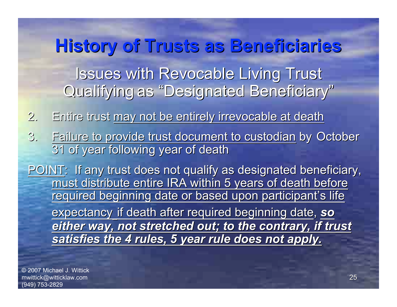**History of Trusts as Beneficiaries History of Trusts as Beneficiaries Issues with Revocable Living Trust** Qualifying as "Designated Beneficiary"

2. Entire trust may not be entirely irrevocable at death

3. Failure to provide trust document to custodian by October 31 of year following year of death

POINT: If any trust does not qualify as designated beneficiary, must distribute entire IRA within 5 years of death before required beginning date or based upon participant's life expectancy if death after required beginning date, so *either way, not stretched out; to the contrary, if trust either way, not stretched out; to the contrary, if trust satisfies the 4 rules, 5 year rule does not apply. satisfies the 4 rules, 5 year rule does not apply.*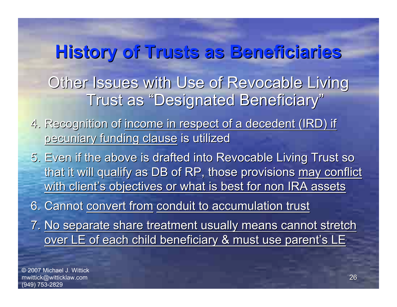## **History of Trusts as Beneficiaries History of Trusts as Beneficiaries** Other Issues with Use of Revocable Living Trust as "Designated Beneficiary"

- 4. Recognition of income in respect of a decedent (IRD) if pecuniary funding clause is utilized
- 5. Even if the above is drafted into Revocable Living Trust so that it will qualify as DB of RP, those provisions may conflict with client's objectives or what is best for non IRA assets

6. Cannot convert from conduit to accumulation trust

7. No separate share treatment usually means cannot stretch over LE of each child beneficiary & must use parent's LE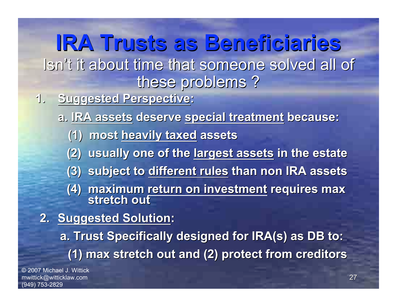#### **IRA Trusts as Beneficiaries Beneficiaries** Isn't it about time that someone solved all of these problems?

- **1.** Suggested Perspective:
	- **a. IRA assets IRA assets deserve deserve special special treatment treatment because: because:**
		- **(1) most heavily taxed heavily taxed assets**
		- **(2) usually one of the (2) usually one of the largest assets largest assets in the estate**
		- **(3) subject to different rules than non IRA assets**
		- **(4) maximum return on investment requires max stretch out**
- **2. Suggested Solution:** 
	- **a. Trust Specifically designed for IRA(s) as DB to: (1) max stretch out and (2) protect from creditors (1) max stretch out and (2) protect from creditors**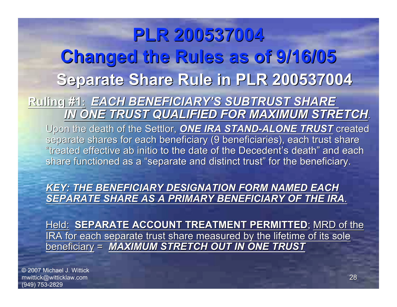## **PLR 200537004 200537004 Changed the Rules as of 9/16/05 Changed the Rules as of 9/16/05** Separate Share Rule in PLR 200537004

**Ruling #1 Ruling #1:** *EACH BENEFICIARY EACH BENEFICIARY'S SUBTRUST SHARE S SUBTRUST SHARE IN ONE TRUST QUALIFIED FOR MAXIMUM STRETCH IN ONE TRUST QUALIFIED FOR MAXIMUM STRETCH*. Upon the death of the Settlor, *ONE IRA STAND-ALONE TRUST* created separate shares for each beneficiary (9 beneficiaries), each trust share "treated effective ab initio to the date of the Decedent's death" and each share functioned as a "separate and distinct trust" for the beneficiary.

**KEY: THE BENEFICIARY DESIGNATION FORM NAMED EACH SEPARATE SHARE AS A PRIMARY BENEFICIARY OF THE IRA.** 

Held: **SEPARATE ACCOUNT TREATMENT PERMITTED**; MRD of the IRA for each separate trust share measured by the lifetime of its sole beneficiary = **MAXIMUM STRETCH OUT IN ONE TRUST**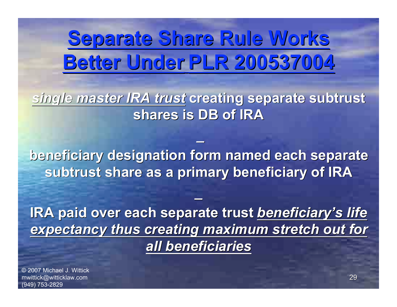## **Separate Share Rule Works Separate Share Rule Works Better Under Better Under PLR 200537004 PLR 200537004**

*single master IRA trust single master IRA trust* **creating separate creating separate subtrust subtrust shares is DB of IRA shares is DB of IRA**

**beneficiary designation form named each separate beneficiary designation form named each separate** subtrust share as a primary beneficiary of IRA

**\_**

**\_**

**IRA paid over each separate trust beneficiary's life** *expectancy thus creating maximum stretch out for expectancy thus creating maximum stretch out for all beneficiaries all beneficiaries*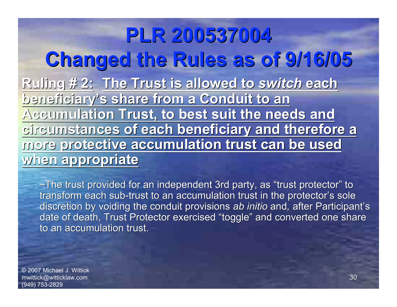**PLR 200537004 PLR 200537004 Changed the Rules as of 9/16/05 Changed the Rules as of 9/16/05 Ruling # 2: The Trust is allowed to switch each beneficiary beneficiary's share from a Conduit to an s share from a Conduit to an Accumulation Trust, to best suit the needs and Accumulation Trust, to best suit the needs and circumstances of each beneficiary and therefore a circumstances of each beneficiary and therefore a more protective accumulation trust can be used more protective accumulation trust can be used when appropriate when appropriate**

-The trust provided for an independent 3rd party, as "trust protector" to transform each sub-trust to an accumulation trust in the protector's sole discretion by voiding the conduit provisions ab *initio* and, after Participant's date of death, Trust Protector exercised "toggle" and converted one share to an accumulation trust.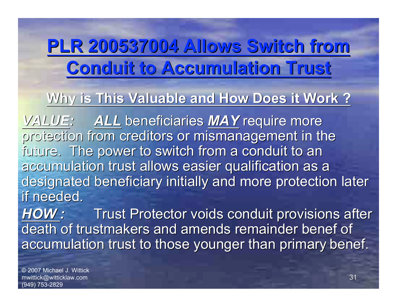## **PLR 200537004 Allows Switch from PLR 200537004 Allows Switch from Conduit to Accumulation Trust Conduit to Accumulation Trust**

#### Why is This Valuable and How Does it Work ?

*VALUE:* ALL beneficiaries *MAY* require more protection from creditors or mismanagement in the future. The power to switch from a conduit to an accumulation trust allows easier qualification as a designated beneficiary initially and more protection later if needed.

**HOW:** Trust Protector voids conduit provisions after death of trustmakers and amends remainder benef of accumulation trust to those younger than primary benef.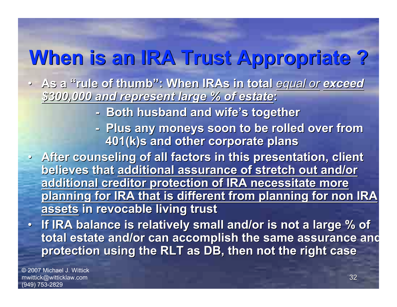## **When is an IRA Trust Appropriate ? When is an IRA Trust Appropriate ?**

- As a "rule of thumb": When IRAs in total equal or exceed *\$300,000 and represent large % of estate \$300,000 and represent large % of estate***:**
	- **Both husband and wife's together**
	- **Plus any moneys soon to be rolled over from 401(k)s and other corporate plans 401(k)s and other corporate plans**
- **After counseling of all factors in this presentation, client believes that additional assurance of stretch out and/or additional creditor protection of IRA necessitate more additional creditor protection of IRA necessitate more planning for IRA that is different from planning for non IRA planning for IRA that is different from planning for non IRA assets in revocable living trust**
- **If IRA balance is relatively small and/or is not a large % of If IRA balance is relatively small and/or is not a large % of total estate and/or can accomplish the same assurance and total estate and/or can accomplish the same assurance and protection using the RLT as DB, then not the right case protection using the RLT as DB, then not the right case**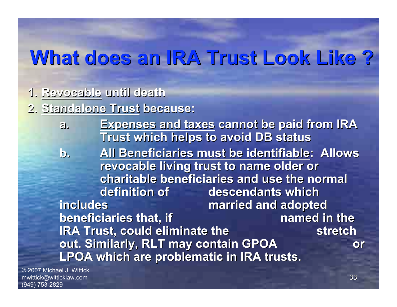**1. Revocable Revocable until death until death**

**2. Standalone Trust Standalone Trust because: because:**

- **a. Expenses and taxes Expenses and taxes cannot be paid from IRA Trust which helps to avoid DB status Trust which helps to avoid DB status**
- **b. All Beneficiaries must be identifiable: Allows revocable living trust to name older or charitable beneficiaries and use the normal charitable beneficiaries and use the normal definition of definition of descendants which descendants which includes includes married and adopted married and adopted beneficiaries that, if beneficiaries that, if named in the named in the IRA Trust, could eliminate the stretch stretch out. Similarly, RLT may contain GPOA out. Similarly, RLT may contain GPOA or LPOA which are problematic in IRA trusts. LPOA which are problematic in IRA trusts.**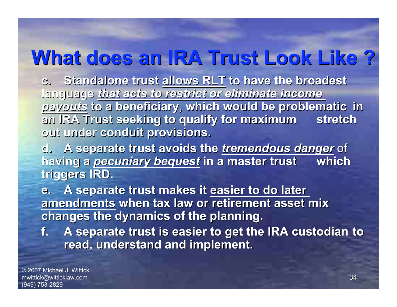**c.** Standalone trust allows RLT to have the broadest **language language** *that acts to restrict or eliminate income that acts to restrict or eliminate income payouts payouts* **to a beneficiary, which would be problematic to a beneficiary, which would be problematic in** an IRA Trust seeking to qualify for maximum stretch **out under conduit provisions. out under conduit provisions.**

**d.** A separate trust avoids the *tremendous danger* of **having a pecuniary bequest in a master trust which triggers IRD. triggers IRD.**

**e.** A separate trust makes it easier to do later **amendments amendments when tax law or retirement asset mix when tax law or retirement asset mix changes the dynamics of the planning. changes the dynamics of the planning.**

**f.** A separate trust is easier to get the IRA custodian to **read, understand and implement. read, understand and implement.**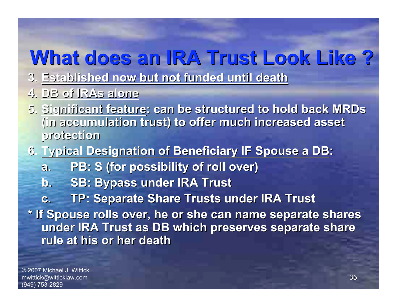- **3. Established now but not funded until death Established now but not funded until death**
- **4. DB of IRAs alone DB of IRAs alone**
- **5. Significant feature: can be structured to hold back MRDs (in accumulation trust) to offer much increased asset (in accumulation trust) to offer much increased asset protection protection**
- **6. Typical Designation of Beneficiary IF Spouse a DB:** 
	- **a. PB: S (for possibility of roll over) PB: S (for possibility of roll over)**
	- **b. SB: Bypass under IRA Trust**
	- **c.** TP: Separate Share Trusts under IRA Trust

**\* If Spouse rolls over, he or she can name separate shares \* If Spouse rolls over, he or she can name separate shares under IRA Trust as DB which preserves separate share under IRA Trust as DB which preserves separate share rule at his or her death rule at his or her death**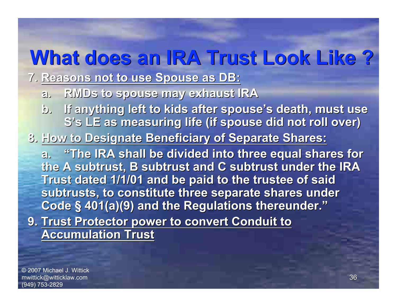**7. Reasons not to use Spouse as DB: Reasons not to use Spouse as DB:**

- a. RMDs to spouse may exhaust IRA
- **b.** If anything left to kids after spouse's death, must use **S's LE as measuring life (if spouse did not roll over)**
- **8. How to Designate Beneficiary of Separate Shares: How to Designate Beneficiary of Separate Shares:**

**a. "The IRA shall be divided divided into three equal shares for the A subtrust, B subtrust and C subtrust under the IRA Trust dated 1/1/01 and be paid to the trustee of said subtrusts subtrusts, to constitute three separate shares under , to constitute three separate shares under Code § 401(a)(9) and the Regulations thereunder."** 

**9. Trust Protector power to convert Conduit to Accumulation Trust Accumulation Trust**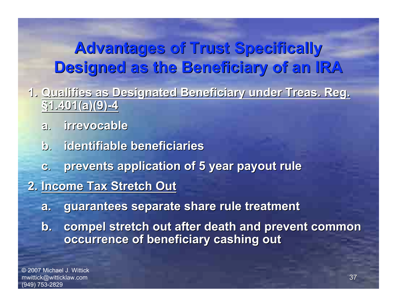- **1. Qualifies as Designated Beneficiary under Treas. Reg. Qualifies as Designated Beneficiary under Treas. Reg. §1.401(a)(9)-4 1.401(a)(9)-4**
	- **a**. **irrevocable irrevocable**
	- **b**. **identifiable beneficiaries identifiable beneficiaries**
	- **c**. **prevents application of 5 year payout rule prevents application of 5 year payout rule**
- **2. Income Tax Stretch Out Income Tax Stretch Out**
	- **a. guarantees separate share rule treatment guarantees separate share rule treatment**
	- **b. compel stretch out after death and prevent common compel stretch out after death and prevent common occurrence of beneficiary cashing out**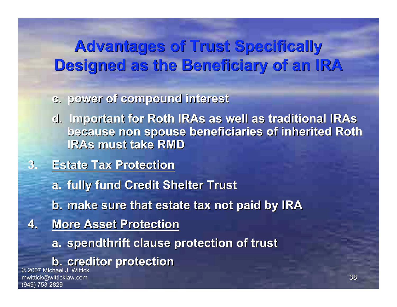- **c. power of compound interest power of compound interest**
- **d. Important for Roth IRAs as well as traditional IRAs d. Important for Roth IRAs as well as traditional IRAs because non spouse beneficiaries of inherited Roth IRAs must take RMD**
- **3. Estate Tax Protection Estate Tax Protection**
	- **a. fully fund Credit Shelter Trust**
	- **b. make sure that estate tax not paid by IRA make sure that estate tax not paid by IRA**
- **4. More Asset Protection** 
	- **a. spendthrift clause protection of trust**
	- **b. creditor protection**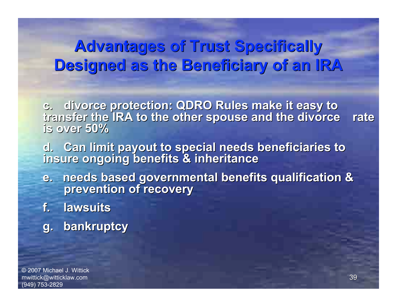- **c. divorce protection: QDRO Rules make it easy to divorce protection: QDRO Rules make it easy to transfer transfer the IRA to the other spouse and the divorce divorce rate is over 50%**
- **d.** Can limit payout to special needs beneficiaries to **insure ongoing benefits & inheritance insure ongoing benefits & inheritance**
- **e. needs based governmental benefits qualification & e. needs based governmental benefits qualification & prevention of recovery prevention of recovery**
- **f. lawsuits lawsuits**
- **g. bankruptcy g. bankruptcy**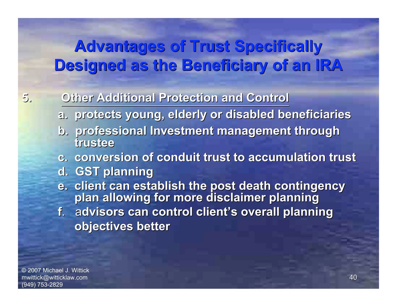#### **5. Other Additional Protection and Control Other Additional Protection and Control**

- **a. protects young, elderly or disabled beneficiaries a. protects young, elderly or disabled beneficiaries**
- **b. professional Investment management through b. professional Investment management through trustee**
- **c. conversion of conduit trust to accumulation trust c. conversion of conduit trust to accumulation trust**
- **d. GST planning d. GST planning**
- **e. client can establish the post death contingency plan allowing for more disclaimer planning**
- **f.** advisors can control client's overall planning **objectives better objectives better**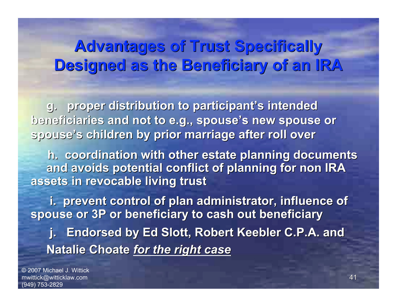**g.** proper distribution to participant's intended **beneficiaries and not to e.g., spouse's new spouse or spouse's children by prior marriage after roll over s children by prior marriage after roll over**

**h. coordination with other estate planning documents** and avoids potential conflict of planning for non IRA **assets in revocable living trust assets in revocable living trust**

**i. prevent control of plan administrator, influence of spouse or 3P or beneficiary to cash out beneficiary j. Endorsed by Ed Slott, Robert Keebler C.P.A. and Natalie Choate for the right case**